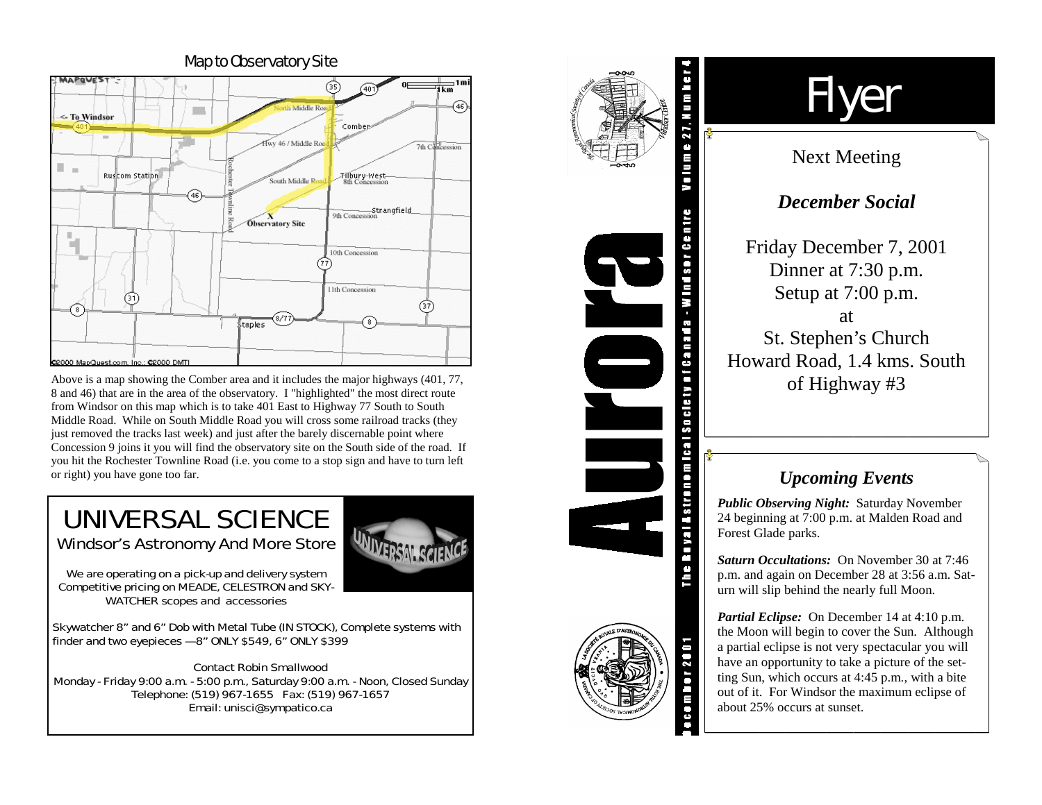

Above is a map showing the Comber area and it includes the major highways (401, 77, 8 and 46) that are in the area of the observatory. I "highlighted" the most direct route from Windsor on this map which is to take 401 East to Highway 77 South to South Middle Road. While on South Middle Road you will cross some railroad tracks (they just removed the tracks last week) and just after the barely discernable point where Concession 9 joins it you will find the observatory site on the South side of the road. If you hit the Rochester Townline Road (i.e. you come to a stop sign and have to turn left or right) you have gone too far.

## UNIVERSAL SCIENCE Windsor's Astronomy And More Store

*We are operating on a pick-up and delivery system Competitive pricing on MEADE, CELESTRON and SKY-WATCHER scopes and accessories* 

Skywatcher 8" and 6" Dob with Metal Tube (IN STOCK), Complete systems with finder and two eyepieces — 8" ONLY \$549, 6" ONLY \$399

Contact Robin Smallwood Monday - Friday 9:00 a.m. - 5:00 p.m., Saturday 9:00 a.m. - Noon, Closed Sunday Telephone: (519) 967-1655 Fax: (519) 967-1657 Email: unisci@sympatico.ca



# Flyer

## Next Meeting

## *December Social*

Friday December 7, 2001 Dinner at 7:30 p.m. Setup at 7:00 p.m. at St. Stephen's Church Howard Road, 1.4 kms. South of Highway #3

## *Upcoming Events*

*Public Observing Night:* Saturday November 24 beginning at 7:00 p.m. at Malden Road and Forest Glade parks.

*Saturn Occultations:* On November 30 at 7:46 p.m. and again on December 28 at 3:56 a.m. Saturn will slip behind the nearly full Moon.

*Partial Eclipse:* On December 14 at 4:10 p.m. the Moon will begin to cover the Sun. Although a partial eclipse is not very spectacular you will have an opportunity to take a picture of the setting Sun, which occurs at 4:45 p.m., with a bite out of it. For Windsor the maximum eclipse of about 25% occurs at sunset.